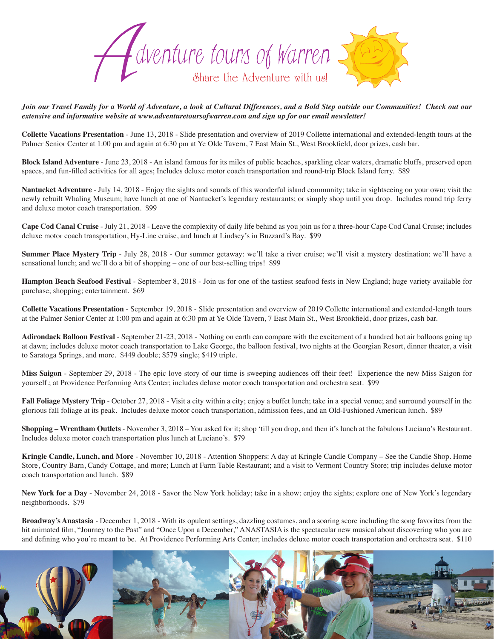

*Join our Travel Family for a World of Adventure, a look at Cultural Differences, and a Bold Step outside our Communities! Check out our extensive and informative website at www.adventuretoursofwarren.com and sign up for our email newsletter!* 

**Collette Vacations Presentation** - June 13, 2018 - Slide presentation and overview of 2019 Collette international and extended-length tours at the Palmer Senior Center at 1:00 pm and again at 6:30 pm at Ye Olde Tavern, 7 East Main St., West Brookfield, door prizes, cash bar.

**Block Island Adventure** - June 23, 2018 - An island famous for its miles of public beaches, sparkling clear waters, dramatic bluffs, preserved open spaces, and fun-filled activities for all ages; Includes deluxe motor coach transportation and round-trip Block Island ferry. \$89

**Nantucket Adventure** - July 14, 2018 - Enjoy the sights and sounds of this wonderful island community; take in sightseeing on your own; visit the newly rebuilt Whaling Museum; have lunch at one of Nantucket's legendary restaurants; or simply shop until you drop. Includes round trip ferry and deluxe motor coach transportation. \$99

**Cape Cod Canal Cruise** - July 21, 2018 - Leave the complexity of daily life behind as you join us for a three-hour Cape Cod Canal Cruise; includes deluxe motor coach transportation, Hy-Line cruise, and lunch at Lindsey's in Buzzard's Bay. \$99

**Summer Place Mystery Trip** - July 28, 2018 - Our summer getaway: we'll take a river cruise; we'll visit a mystery destination; we'll have a sensational lunch; and we'll do a bit of shopping – one of our best-selling trips! \$99

**Hampton Beach Seafood Festival** - September 8, 2018 - Join us for one of the tastiest seafood fests in New England; huge variety available for purchase; shopping; entertainment. \$69

**Collette Vacations Presentation** - September 19, 2018 - Slide presentation and overview of 2019 Collette international and extended-length tours at the Palmer Senior Center at 1:00 pm and again at 6:30 pm at Ye Olde Tavern, 7 East Main St., West Brookfield, door prizes, cash bar.

**Adirondack Balloon Festival** - September 21-23, 2018 - Nothing on earth can compare with the excitement of a hundred hot air balloons going up at dawn; includes deluxe motor coach transportation to Lake George, the balloon festival, two nights at the Georgian Resort, dinner theater, a visit to Saratoga Springs, and more. \$449 double; \$579 single; \$419 triple.

**Miss Saigon** - September 29, 2018 - The epic love story of our time is sweeping audiences off their feet! Experience the new Miss Saigon for yourself.; at Providence Performing Arts Center; includes deluxe motor coach transportation and orchestra seat. \$99

**Fall Foliage Mystery Trip** - October 27, 2018 - Visit a city within a city; enjoy a buffet lunch; take in a special venue; and surround yourself in the glorious fall foliage at its peak. Includes deluxe motor coach transportation, admission fees, and an Old-Fashioned American lunch. \$89

**Shopping – Wrentham Outlets** - November 3, 2018 – You asked for it; shop 'till you drop, and then it's lunch at the fabulous Luciano's Restaurant. Includes deluxe motor coach transportation plus lunch at Luciano's. \$79

**Kringle Candle, Lunch, and More** - November 10, 2018 - Attention Shoppers: A day at Kringle Candle Company – See the Candle Shop. Home Store, Country Barn, Candy Cottage, and more; Lunch at Farm Table Restaurant; and a visit to Vermont Country Store; trip includes deluxe motor coach transportation and lunch. \$89

New York for a Day - November 24, 2018 - Savor the New York holiday; take in a show; enjoy the sights; explore one of New York's legendary neighborhoods. \$79

**Broadway's Anastasia** - December 1, 2018 - With its opulent settings, dazzling costumes, and a soaring score including the song favorites from the hit animated film, "Journey to the Past" and "Once Upon a December," ANASTASIA is the spectacular new musical about discovering who you are and defining who you're meant to be. At Providence Performing Arts Center; includes deluxe motor coach transportation and orchestra seat. \$110